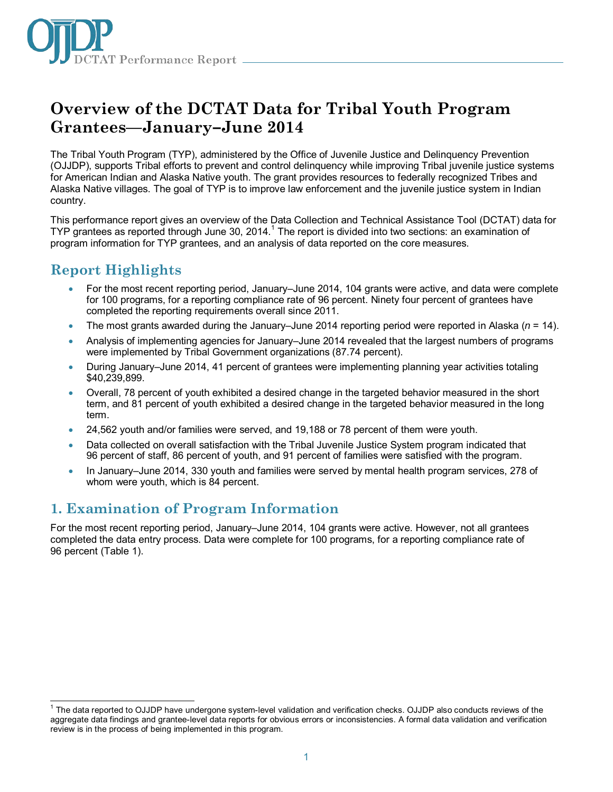

# **Overview of the DCTAT Data for Tribal Youth Program Grantees—January–June 2014**

The Tribal Youth Program (TYP), administered by the Office of Juvenile Justice and Delinquency Prevention (OJJDP), supports Tribal efforts to prevent and control delinquency while improving Tribal juvenile justice systems for American Indian and Alaska Native youth. The grant provides resources to federally recognized Tribes and Alaska Native villages. The goal of TYP is to improve law enforcement and the juvenile justice system in Indian country.

This performance report gives an overview of the Data Collection and Technical Assistance Tool (DCTAT) data for TYP grantees as reported through June 30, 20[1](#page-0-0)4.<sup>1</sup> The report is divided into two sections: an examination of program information for TYP grantees, and an analysis of data reported on the core measures.

## **Report Highlights**

- For the most recent reporting period, January–June 2014, 104 grants were active, and data were complete for 100 programs, for a reporting compliance rate of 96 percent. Ninety four percent of grantees have completed the reporting requirements overall since 2011.
- The most grants awarded during the January–June 2014 reporting period were reported in Alaska (*n* = 14).
- Analysis of implementing agencies for January–June 2014 revealed that the largest numbers of programs were implemented by Tribal Government organizations (87.74 percent).
- During January–June 2014, 41 percent of grantees were implementing planning year activities totaling \$40,239,899.
- Overall, 78 percent of youth exhibited a desired change in the targeted behavior measured in the short term, and 81 percent of youth exhibited a desired change in the targeted behavior measured in the long term.
- 24,562 youth and/or families were served, and 19,188 or 78 percent of them were youth.
- Data collected on overall satisfaction with the Tribal Juvenile Justice System program indicated that 96 percent of staff, 86 percent of youth, and 91 percent of families were satisfied with the program.
- In January–June 2014, 330 youth and families were served by mental health program services, 278 of whom were youth, which is 84 percent.

## **1. Examination of Program Information**

For the most recent reporting period, January–June 2014, 104 grants were active. However, not all grantees completed the data entry process. Data were complete for 100 programs, for a reporting compliance rate of 96 percent (Table 1).

<span id="page-0-0"></span> <sup>1</sup> The data reported to OJJDP have undergone system-level validation and verification checks. OJJDP also conducts reviews of the aggregate data findings and grantee-level data reports for obvious errors or inconsistencies. A formal data validation and verification review is in the process of being implemented in this program.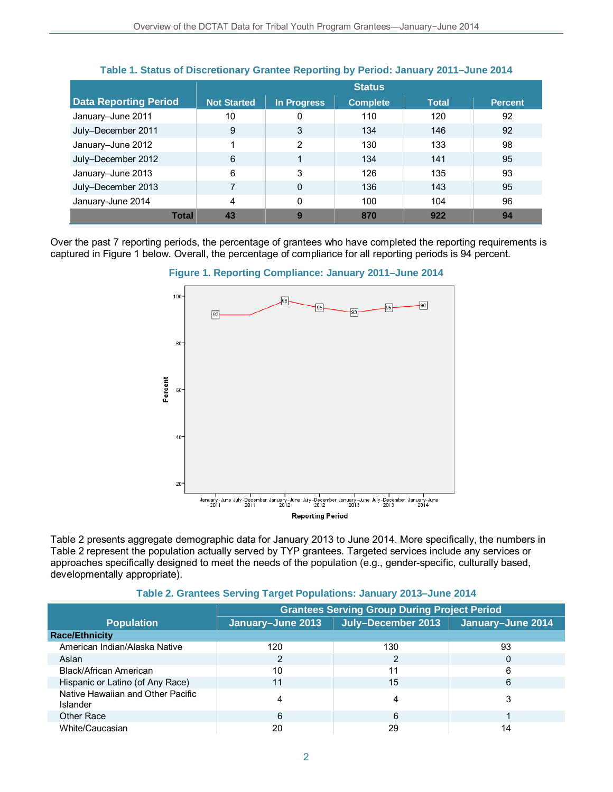|                              | <b>Status</b>      |                |                 |              |                |
|------------------------------|--------------------|----------------|-----------------|--------------|----------------|
| <b>Data Reporting Period</b> | <b>Not Started</b> | In Progress    | <b>Complete</b> | <b>Total</b> | <b>Percent</b> |
| January-June 2011            | 10                 | 0              | 110             | 120          | 92             |
| July-December 2011           | 9                  | 3              | 134             | 146          | 92             |
| January-June 2012            |                    | $\overline{2}$ | 130             | 133          | 98             |
| July-December 2012           | 6                  | 4              | 134             | 141          | 95             |
| January-June 2013            | 6                  | 3              | 126             | 135          | 93             |
| July-December 2013           | 7                  | $\Omega$       | 136             | 143          | 95             |
| January-June 2014            | 4                  | 0              | 100             | 104          | 96             |
| <b>Total</b>                 | 43                 | 9              | 870             | 922          | 94             |

### **Table 1. Status of Discretionary Grantee Reporting by Period: January 2011–June 2014**

Over the past 7 reporting periods, the percentage of grantees who have completed the reporting requirements is captured in Figure 1 below. Overall, the percentage of compliance for all reporting periods is 94 percent.



**Figure 1. Reporting Compliance: January 2011–June 2014**

Table 2 presents aggregate demographic data for January 2013 to June 2014. More specifically, the numbers in Table 2 represent the population actually served by TYP grantees. Targeted services include any services or approaches specifically designed to meet the needs of the population (e.g., gender-specific, culturally based, developmentally appropriate).

#### **Table 2. Grantees Serving Target Populations: January 2013–June 2014**

|                                               | <b>Grantees Serving Group During Project Period</b> |                    |                   |  |
|-----------------------------------------------|-----------------------------------------------------|--------------------|-------------------|--|
| <b>Population</b>                             | January-June 2013                                   | July-December 2013 | January-June 2014 |  |
| <b>Race/Ethnicity</b>                         |                                                     |                    |                   |  |
| American Indian/Alaska Native                 | 120                                                 | 130                | 93                |  |
| Asian                                         | 2                                                   | 2                  | 0                 |  |
| Black/African American                        | 10                                                  | 11                 | 6                 |  |
| Hispanic or Latino (of Any Race)              |                                                     | 15                 | 6                 |  |
| Native Hawaiian and Other Pacific<br>Islander |                                                     | 4                  | 3                 |  |
| Other Race                                    | 6                                                   | 6                  |                   |  |
| White/Caucasian                               | 20                                                  | 29                 | 14                |  |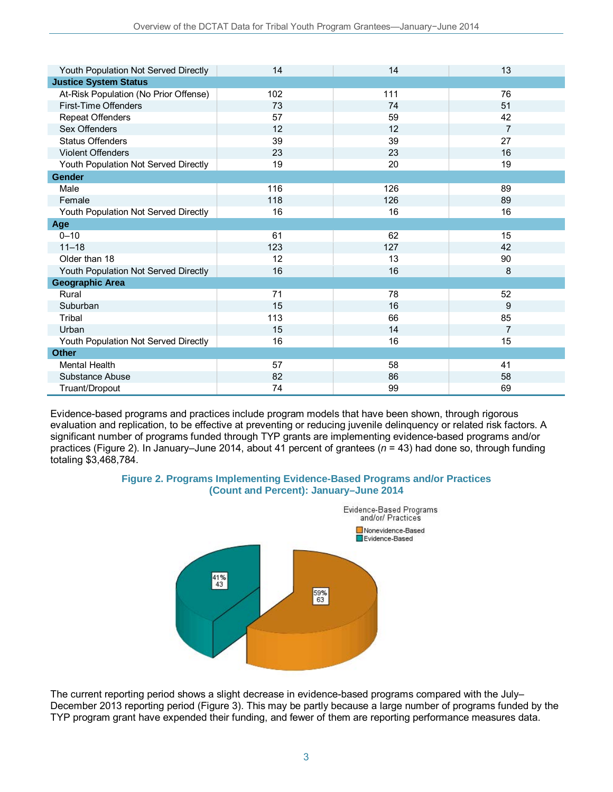| Youth Population Not Served Directly  | 14  | 14  | 13             |
|---------------------------------------|-----|-----|----------------|
| <b>Justice System Status</b>          |     |     |                |
| At-Risk Population (No Prior Offense) | 102 | 111 | 76             |
| First-Time Offenders                  | 73  | 74  | 51             |
| Repeat Offenders                      | 57  | 59  | 42             |
| Sex Offenders                         | 12  | 12  | $\overline{7}$ |
| <b>Status Offenders</b>               | 39  | 39  | 27             |
| <b>Violent Offenders</b>              | 23  | 23  | 16             |
| Youth Population Not Served Directly  | 19  | 20  | 19             |
| <b>Gender</b>                         |     |     |                |
| Male                                  | 116 | 126 | 89             |
| Female                                | 118 | 126 | 89             |
| Youth Population Not Served Directly  | 16  | 16  | 16             |
| Age                                   |     |     |                |
| $0 - 10$                              | 61  | 62  | 15             |
| $11 - 18$                             | 123 | 127 | 42             |
| Older than 18                         | 12  | 13  | 90             |
| Youth Population Not Served Directly  | 16  | 16  | 8              |
| <b>Geographic Area</b>                |     |     |                |
| Rural                                 | 71  | 78  | 52             |
| Suburban                              | 15  | 16  | 9              |
| Tribal                                | 113 | 66  | 85             |
| Urban                                 | 15  | 14  | $\overline{7}$ |
| Youth Population Not Served Directly  | 16  | 16  | 15             |
| <b>Other</b>                          |     |     |                |
| <b>Mental Health</b>                  | 57  | 58  | 41             |
| Substance Abuse                       | 82  | 86  | 58             |
| Truant/Dropout                        | 74  | 99  | 69             |

Evidence-based programs and practices include program models that have been shown, through rigorous evaluation and replication, to be effective at preventing or reducing juvenile delinquency or related risk factors. A significant number of programs funded through TYP grants are implementing evidence-based programs and/or practices (Figure 2). In January–June 2014, about 41 percent of grantees (*n* = 43) had done so, through funding totaling \$3,468,784.





The current reporting period shows a slight decrease in evidence-based programs compared with the July– December 2013 reporting period (Figure 3). This may be partly because a large number of programs funded by the TYP program grant have expended their funding, and fewer of them are reporting performance measures data.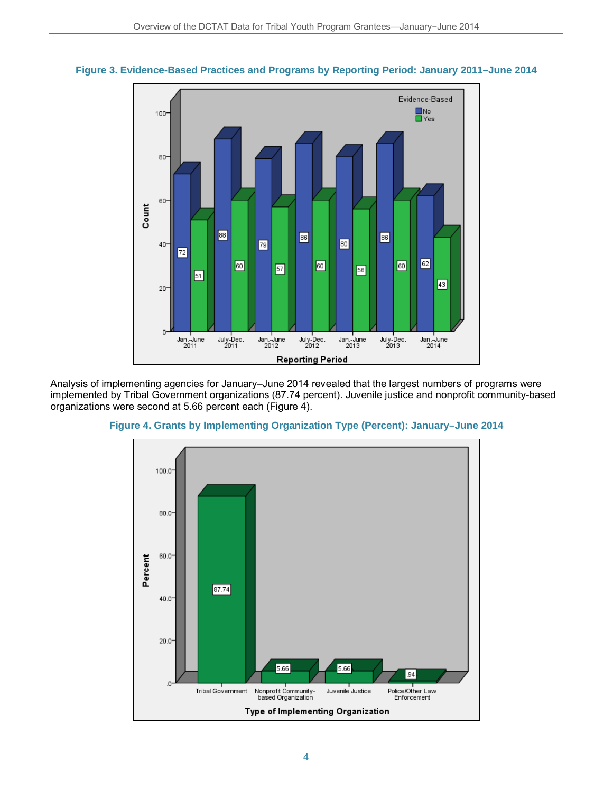



Analysis of implementing agencies for January–June 2014 revealed that the largest numbers of programs were implemented by Tribal Government organizations (87.74 percent). Juvenile justice and nonprofit community-based organizations were second at 5.66 percent each (Figure 4).



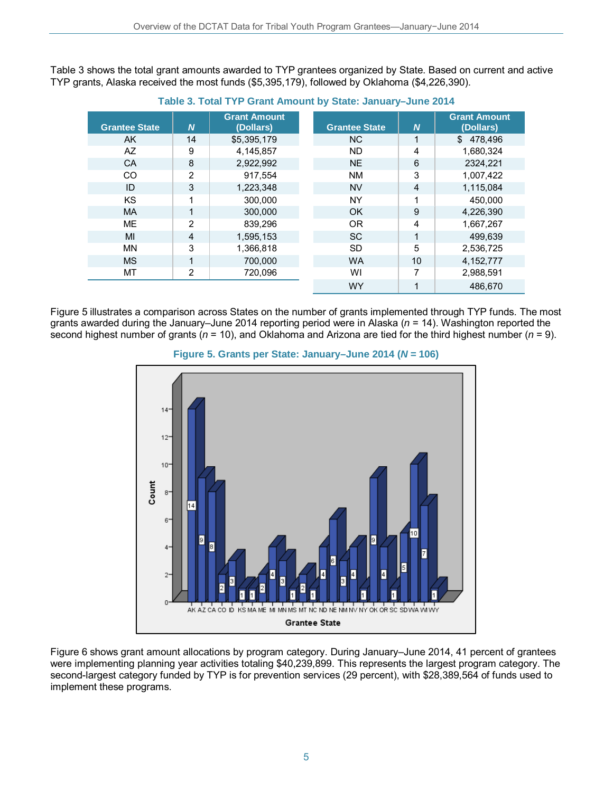Table 3 shows the total grant amounts awarded to TYP grantees organized by State. Based on current and active TYP grants, Alaska received the most funds (\$5,395,179), followed by Oklahoma (\$4,226,390).

|                      |          | <b>Grant Amount</b> |                      |                  | <b>Grant Amount</b> |
|----------------------|----------|---------------------|----------------------|------------------|---------------------|
| <b>Grantee State</b> | <b>N</b> | (Dollars)           | <b>Grantee State</b> | $\boldsymbol{N}$ | (Dollars)           |
| AK.                  | 14       | \$5,395,179         | <b>NC</b>            | 1                | \$478,496           |
| AZ                   | 9        | 4.145.857           | <b>ND</b>            | 4                | 1.680.324           |
| <b>CA</b>            | 8        | 2.922.992           | <b>NE</b>            | 6                | 2324,221            |
| <b>CO</b>            | 2        | 917.554             | <b>NM</b>            | 3                | 1,007,422           |
| ID                   | 3        | 1,223,348           | <b>NV</b>            | $\overline{4}$   | 1,115,084           |
| KS                   |          | 300.000             | <b>NY</b>            | 1                | 450.000             |
| <b>MA</b>            |          | 300,000             | OK                   | 9                | 4,226,390           |
| <b>ME</b>            | 2        | 839,296             | <b>OR</b>            | 4                | 1,667,267           |
| MI                   | 4        | 1,595,153           | <b>SC</b>            | 1                | 499.639             |
| <b>MN</b>            | 3        | 1,366,818           | <b>SD</b>            | 5                | 2,536,725           |
| <b>MS</b>            | 1        | 700.000             | <b>WA</b>            | 10               | 4, 152, 777         |
| MT                   | 2        | 720,096             | WI                   | 7                | 2,988,591           |
|                      |          |                     | <b>WY</b>            |                  | 486.670             |

**Table 3. Total TYP Grant Amount by State: January–June 2014** 

Figure 5 illustrates a comparison across States on the number of grants implemented through TYP funds. The most grants awarded during the January–June 2014 reporting period were in Alaska (*n* = 14). Washington reported the second highest number of grants (*n* = 10), and Oklahoma and Arizona are tied for the third highest number (*n* = 9).





Figure 6 shows grant amount allocations by program category. During January–June 2014, 41 percent of grantees were implementing planning year activities totaling \$40,239,899. This represents the largest program category. The second-largest category funded by TYP is for prevention services (29 percent), with \$28,389,564 of funds used to implement these programs.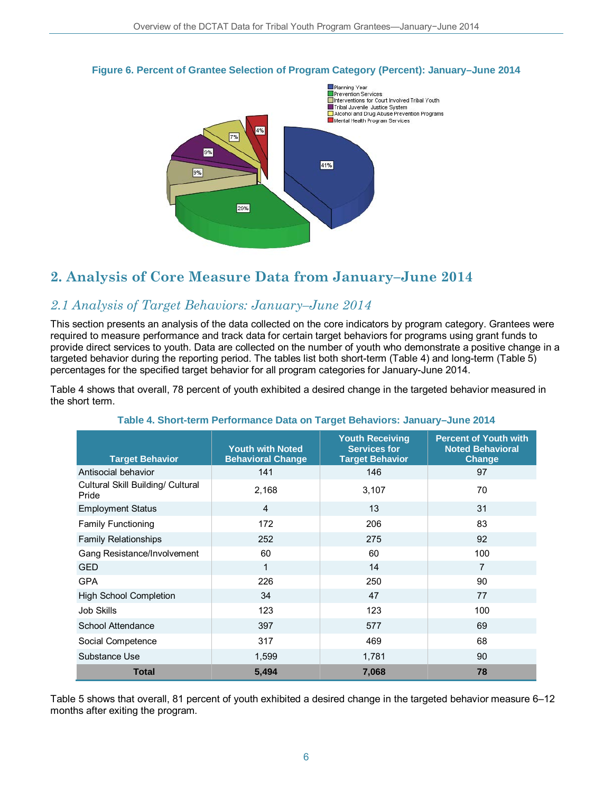

#### **Figure 6. Percent of Grantee Selection of Program Category (Percent): January–June 2014**

## **2. Analysis of Core Measure Data from January–June 2014**

### *2.1 Analysis of Target Behaviors: January–June 2014*

This section presents an analysis of the data collected on the core indicators by program category. Grantees were required to measure performance and track data for certain target behaviors for programs using grant funds to provide direct services to youth. Data are collected on the number of youth who demonstrate a positive change in a targeted behavior during the reporting period. The tables list both short-term (Table 4) and long-term (Table 5) percentages for the specified target behavior for all program categories for January-June 2014.

Table 4 shows that overall, 78 percent of youth exhibited a desired change in the targeted behavior measured in the short term.

| <b>Target Behavior</b>                     | <b>Youth with Noted</b><br><b>Behavioral Change</b> | <b>Youth Receiving</b><br><b>Services for</b><br><b>Target Behavior</b> | <b>Percent of Youth with</b><br><b>Noted Behavioral</b><br><b>Change</b> |
|--------------------------------------------|-----------------------------------------------------|-------------------------------------------------------------------------|--------------------------------------------------------------------------|
| Antisocial behavior                        | 141                                                 | 146                                                                     | 97                                                                       |
| Cultural Skill Building/ Cultural<br>Pride | 2,168                                               | 3,107                                                                   | 70                                                                       |
| <b>Employment Status</b>                   | $\overline{4}$                                      | 13                                                                      | 31                                                                       |
| <b>Family Functioning</b>                  | 172                                                 | 206                                                                     | 83                                                                       |
| <b>Family Relationships</b>                | 252                                                 | 275                                                                     | 92                                                                       |
| Gang Resistance/Involvement                | 60                                                  | 60                                                                      | 100                                                                      |
| <b>GED</b>                                 | 1                                                   | 14                                                                      | $\overline{7}$                                                           |
| <b>GPA</b>                                 | 226                                                 | 250                                                                     | 90                                                                       |
| <b>High School Completion</b>              | 34                                                  | 47                                                                      | 77                                                                       |
| <b>Job Skills</b>                          | 123                                                 | 123                                                                     | 100                                                                      |
| School Attendance                          | 397                                                 | 577                                                                     | 69                                                                       |
| Social Competence                          | 317                                                 | 469                                                                     | 68                                                                       |
| Substance Use                              | 1,599                                               | 1,781                                                                   | 90                                                                       |
| <b>Total</b>                               | 5,494                                               | 7,068                                                                   | 78                                                                       |

#### **Table 4. Short-term Performance Data on Target Behaviors: January–June 2014**

Table 5 shows that overall, 81 percent of youth exhibited a desired change in the targeted behavior measure 6–12 months after exiting the program.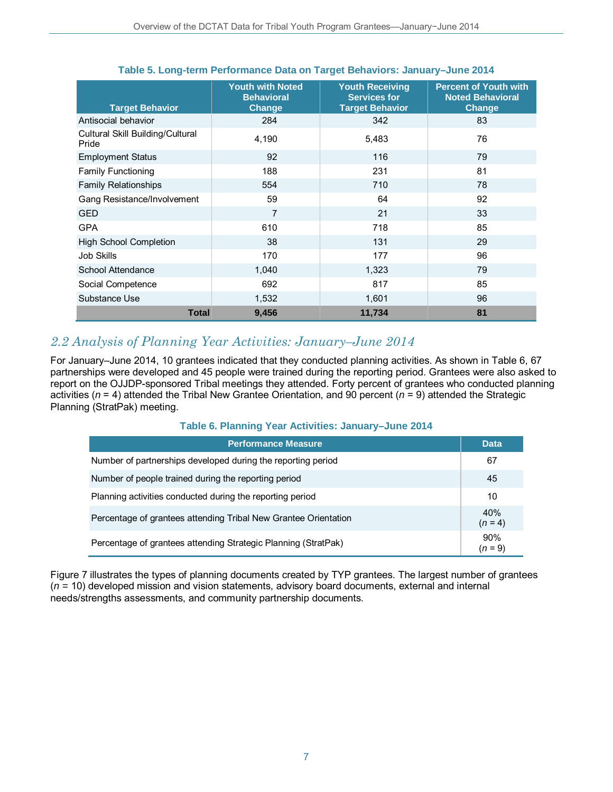| <b>Target Behavior</b>                    | <b>Youth with Noted</b><br><b>Behavioral</b><br>Change | <b>Youth Receiving</b><br><b>Services for</b><br><b>Target Behavior</b> | <b>Percent of Youth with</b><br><b>Noted Behavioral</b><br>Change |
|-------------------------------------------|--------------------------------------------------------|-------------------------------------------------------------------------|-------------------------------------------------------------------|
| Antisocial behavior                       | 284                                                    | 342                                                                     | 83                                                                |
| Cultural Skill Building/Cultural<br>Pride | 4,190                                                  | 5,483                                                                   | 76                                                                |
| <b>Employment Status</b>                  | 92                                                     | 116                                                                     | 79                                                                |
| <b>Family Functioning</b>                 | 188                                                    | 231                                                                     | 81                                                                |
| <b>Family Relationships</b>               | 554                                                    | 710                                                                     | 78                                                                |
| Gang Resistance/Involvement               | 59                                                     | 64                                                                      | 92                                                                |
| <b>GED</b>                                | 7                                                      | 21                                                                      | 33                                                                |
| <b>GPA</b>                                | 610                                                    | 718                                                                     | 85                                                                |
| <b>High School Completion</b>             | 38                                                     | 131                                                                     | 29                                                                |
| <b>Job Skills</b>                         | 170                                                    | 177                                                                     | 96                                                                |
| School Attendance                         | 1,040                                                  | 1,323                                                                   | 79                                                                |
| Social Competence                         | 692                                                    | 817                                                                     | 85                                                                |
| Substance Use                             | 1,532                                                  | 1,601                                                                   | 96                                                                |
| <b>Total</b>                              | 9,456                                                  | 11,734                                                                  | 81                                                                |

#### **Table 5. Long-term Performance Data on Target Behaviors: January–June 2014**

### *2.2 Analysis of Planning Year Activities: January–June 2014*

For January–June 2014, 10 grantees indicated that they conducted planning activities. As shown in Table 6, 67 partnerships were developed and 45 people were trained during the reporting period. Grantees were also asked to report on the OJJDP-sponsored Tribal meetings they attended. Forty percent of grantees who conducted planning activities (*n* = 4) attended the Tribal New Grantee Orientation, and 90 percent (*n* = 9) attended the Strategic Planning (StratPak) meeting.

### **Table 6. Planning Year Activities: January–June 2014**

| Performance Measure ˈ                                           | <b>Data</b>      |
|-----------------------------------------------------------------|------------------|
| Number of partnerships developed during the reporting period    | 67               |
| Number of people trained during the reporting period            | 45               |
| Planning activities conducted during the reporting period       | 10               |
| Percentage of grantees attending Tribal New Grantee Orientation | 40%<br>$(n = 4)$ |
| Percentage of grantees attending Strategic Planning (StratPak)  | 90%<br>(n = 9)   |

Figure 7 illustrates the types of planning documents created by TYP grantees. The largest number of grantees (*n =* 10) developed mission and vision statements, advisory board documents, external and internal needs/strengths assessments, and community partnership documents.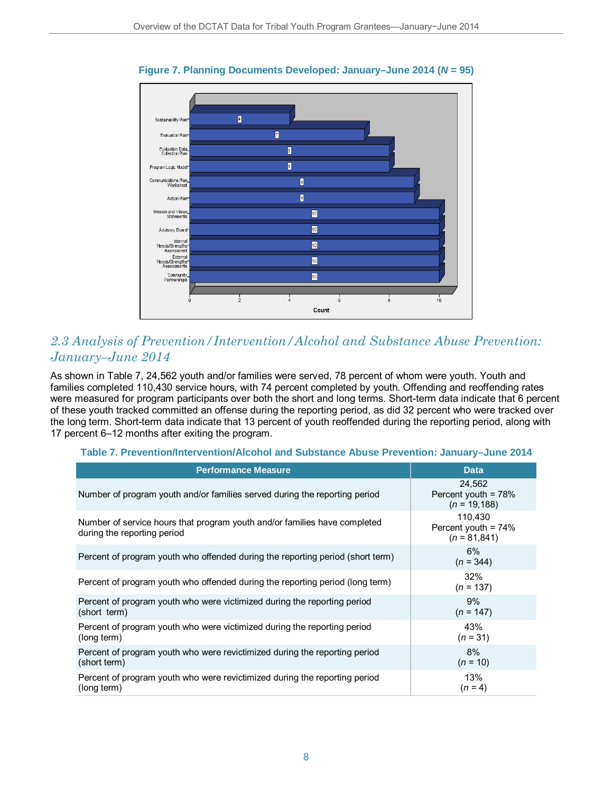

**Figure 7. Planning Documents Developed: January–June 2014 (***N* **= 95)** 

### *2.3 Analysis of Prevention/Intervention/Alcohol and Substance Abuse Prevention: January–June 2014*

As shown in Table 7, 24,562 youth and/or families were served, 78 percent of whom were youth. Youth and families completed 110,430 service hours, with 74 percent completed by youth. Offending and reoffending rates were measured for program participants over both the short and long terms. Short-term data indicate that 6 percent of these youth tracked committed an offense during the reporting period, as did 32 percent who were tracked over the long term. Short-term data indicate that 13 percent of youth reoffended during the reporting period, along with 17 percent 6–12 months after exiting the program.

#### **Table 7. Prevention/Intervention/Alcohol and Substance Abuse Prevention: January–June 2014**

| <b>Performance Measure</b>                                                                               | <b>Data</b>                                         |
|----------------------------------------------------------------------------------------------------------|-----------------------------------------------------|
| Number of program youth and/or families served during the reporting period                               | 24.562<br>Percent youth = $78%$<br>$(n = 19, 188)$  |
| Number of service hours that program youth and/or families have completed<br>during the reporting period | 110.430<br>Percent youth = $74%$<br>$(n = 81, 841)$ |
| Percent of program youth who offended during the reporting period (short term)                           | 6%<br>$(n = 344)$                                   |
| Percent of program youth who offended during the reporting period (long term)                            | 32%<br>$(n = 137)$                                  |
| Percent of program youth who were victimized during the reporting period<br>(short term)                 | 9%<br>$(n = 147)$                                   |
| Percent of program youth who were victimized during the reporting period<br>(long term)                  | 43%<br>$(n = 31)$                                   |
| Percent of program youth who were revictimized during the reporting period<br>(short term)               | 8%<br>$(n = 10)$                                    |
| Percent of program youth who were revictimized during the reporting period<br>(long term)                | 13%<br>$(n = 4)$                                    |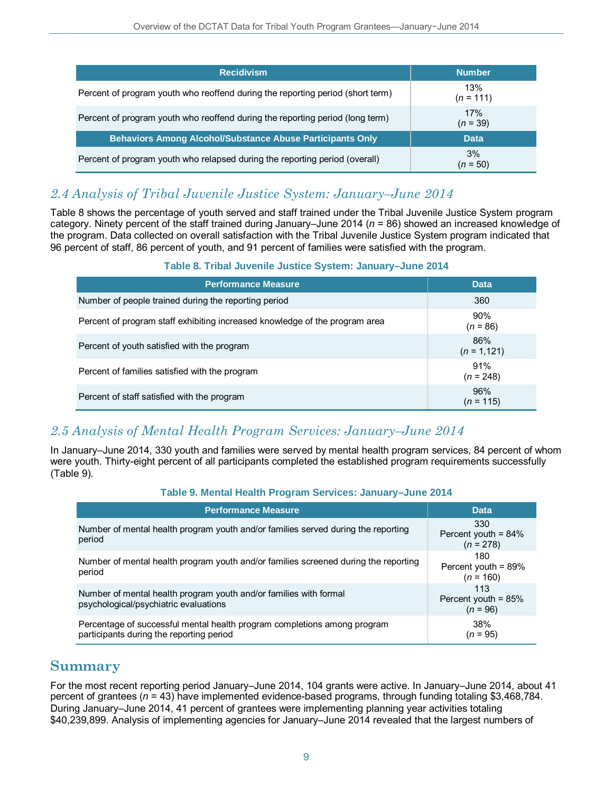| <b>Recidivism</b>                                                              | <b>Number</b>      |
|--------------------------------------------------------------------------------|--------------------|
| Percent of program youth who reoffend during the reporting period (short term) | 13%<br>$(n = 111)$ |
| Percent of program youth who reoffend during the reporting period (long term)  | 17%<br>$(n = 39)$  |
| <b>Behaviors Among Alcohol/Substance Abuse Participants Only</b>               | <b>Data</b>        |
| Percent of program youth who relapsed during the reporting period (overall)    | 3%<br>$(n = 50)$   |

### *2.4 Analysis of Tribal Juvenile Justice System: January–June 2014*

Table 8 shows the percentage of youth served and staff trained under the Tribal Juvenile Justice System program category. Ninety percent of the staff trained during January–June 2014 (*n* = 86) showed an increased knowledge of the program. Data collected on overall satisfaction with the Tribal Juvenile Justice System program indicated that 96 percent of staff, 86 percent of youth, and 91 percent of families were satisfied with the program.

### **Table 8. Tribal Juvenile Justice System: January–June 2014**

| <b>Performance Measure</b>                                                  | <b>Data</b>           |
|-----------------------------------------------------------------------------|-----------------------|
| Number of people trained during the reporting period                        | 360                   |
| Percent of program staff exhibiting increased knowledge of the program area | 90%<br>$(n = 86)$     |
| Percent of youth satisfied with the program                                 | 86%<br>$(n = 1, 121)$ |
| Percent of families satisfied with the program                              | 91%<br>$(n = 248)$    |
| Percent of staff satisfied with the program                                 | 96%<br>$(n = 115)$    |

### *2.5 Analysis of Mental Health Program Services: January–June 2014*

In January–June 2014, 330 youth and families were served by mental health program services, 84 percent of whom were youth. Thirty-eight percent of all participants completed the established program requirements successfully (Table 9).

#### **Table 9. Mental Health Program Services: January–June 2014**

| <b>Performance Measure</b>                                                                                           | <b>Data</b>                                  |
|----------------------------------------------------------------------------------------------------------------------|----------------------------------------------|
| Number of mental health program youth and/or families served during the reporting<br>period                          | 330<br>Percent youth = $84\%$<br>$(n = 278)$ |
| Number of mental health program youth and/or families screened during the reporting<br>period                        | 180<br>Percent youth = $89\%$<br>$(n = 160)$ |
| Number of mental health program youth and/or families with formal<br>psychological/psychiatric evaluations           | 113<br>Percent youth = $85%$<br>$(n = 96)$   |
| Percentage of successful mental health program completions among program<br>participants during the reporting period | 38%<br>$(n = 95)$                            |

### **Summary**

For the most recent reporting period January–June 2014, 104 grants were active. In January–June 2014, about 41 percent of grantees (*n* = 43) have implemented evidence-based programs, through funding totaling \$3,468,784. During January–June 2014, 41 percent of grantees were implementing planning year activities totaling \$40,239,899. Analysis of implementing agencies for January–June 2014 revealed that the largest numbers of